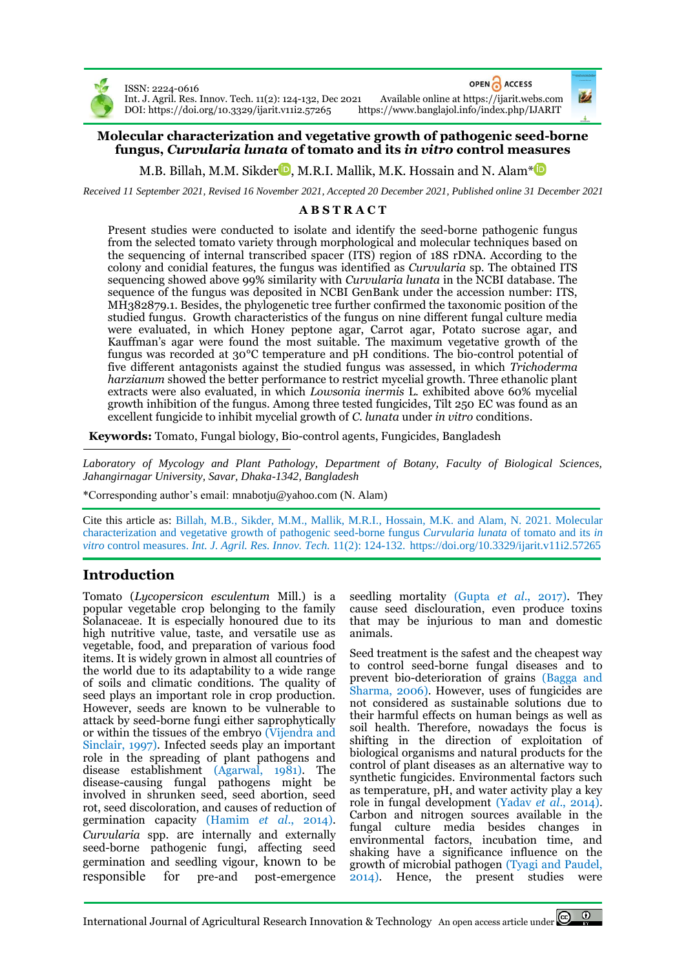

ISSN: 2224-0616 DOI[: https://doi.org/10.3329/ijarit.v11i2.57265](https://doi.org/10.3329/ijarit.v11i2.57265) OPEN ACCESS

Int. J. Agril. Res. Innov. Tech. 11(2): 124-132, Dec 2021 Available online a[t https://ijarit.webs.com](http://ijarit.webs.com/)

## **Molecular characterization and vegetative growth of pathogenic seed-borne fungus,** *Curvularia lunata* **of tomato and its** *in vitro* **control measures**

M.B. Billah[,](https://orcid.org/0000-0001-9139-4890) M.M. Sikder  $\blacksquare$ , M.R.I. Mallik, M.K. Hossain and N. Alam\* $\blacksquare$ 

*Received 11 September 2021, Revised 16 November 2021, Accepted 20 December 2021, Published online 31 December 2021*

# **A B S T R A C T**

Present studies were conducted to isolate and identify the seed-borne pathogenic fungus from the selected tomato variety through morphological and molecular techniques based on the sequencing of internal transcribed spacer (ITS) region of 18S rDNA. According to the colony and conidial features, the fungus was identified as *Curvularia* sp. The obtained ITS sequencing showed above 99% similarity with *Curvularia lunata* in the NCBI database. The sequence of the fungus was deposited in NCBI GenBank under the accession number: ITS, MH382879.1. Besides, the phylogenetic tree further confirmed the taxonomic position of the studied fungus. Growth characteristics of the fungus on nine different fungal culture media were evaluated, in which Honey peptone agar, Carrot agar, Potato sucrose agar, and Kauffman's agar were found the most suitable. The maximum vegetative growth of the fungus was recorded at 30°C temperature and pH conditions. The bio-control potential of five different antagonists against the studied fungus was assessed, in which *Trichoderma harzianum* showed the better performance to restrict mycelial growth. Three ethanolic plant extracts were also evaluated, in which *Lowsonia inermis* L. exhibited above 60% mycelial growth inhibition of the fungus. Among three tested fungicides, Tilt 250 EC was found as an excellent fungicide to inhibit mycelial growth of *C. lunata* under *in vitro* conditions.

**Keywords:** Tomato, Fungal biology, Bio-control agents, Fungicides, Bangladesh

*Laboratory of Mycology and Plant Pathology, Department of Botany, Faculty of Biological Sciences, Jahangirnagar University, Savar, Dhaka-1342, Bangladesh*

\*Corresponding author's email[: mnabotju@yahoo.com](mailto:mnabotju@yahoo.com) (N. Alam)

Cite this article as: Billah, M.B., Sikder, M.M., Mallik, M.R.I., Hossain, M.K. and Alam, N. 2021. Molecular characterization and vegetative growth of pathogenic seed-borne fungus *Curvularia lunata* of tomato and its *in vitro* control measures. *Int. J. Agril. Res. Innov. Tech.* 11(2): 124-132. <https://doi.org/10.3329/ijarit.v11i2.57265>

# **Introduction**

Tomato (*Lycopersicon esculentum* Mill.) is a popular vegetable crop belonging to the family Solanaceae. It is especially honoured due to its high nutritive value, taste, and versatile use as vegetable, food, and preparation of various food items. It is widely grown in almost all countries of the world due to its adaptability to a wide range of soils and climatic conditions. The quality of seed plays an important role in crop production. However, seeds are known to be vulnerable to attack by seed-borne fungi either saprophytically or within the tissues of the embryo (Vijendra and Sinclair, 1997). Infected seeds play an important role in the spreading of plant pathogens and disease establishment (Agarwal, 1981). The disease-causing fungal pathogens might be involved in shrunken seed, seed abortion, seed rot, seed discoloration, and causes of reduction of germination capacity (Hamim *et al*., 2014). *Curvularia* spp. are internally and externally seed-borne pathogenic fungi, affecting seed germination and seedling vigour, known to be responsible for pre-and post-emergence seedling mortality (Gupta *et al*., 2017). They cause seed disclouration, even produce toxins that may be injurious to man and domestic animals.

Seed treatment is the safest and the cheapest way to control seed-borne fungal diseases and to prevent bio-deterioration of grains (Bagga and Sharma, 2006). However, uses of fungicides are not considered as sustainable solutions due to their harmful effects on human beings as well as soil health. Therefore, nowadays the focus is shifting in the direction of exploitation of biological organisms and natural products for the control of plant diseases as an alternative way to synthetic fungicides. Environmental factors such as temperature, pH, and water activity play a key role in fungal development (Yadav *et al*., 2014). Carbon and nitrogen sources available in the fungal culture media besides changes in environmental factors, incubation time, and shaking have a significance influence on the growth of microbial pathogen (Tyagi and Paudel, 2014). Hence, the present studies were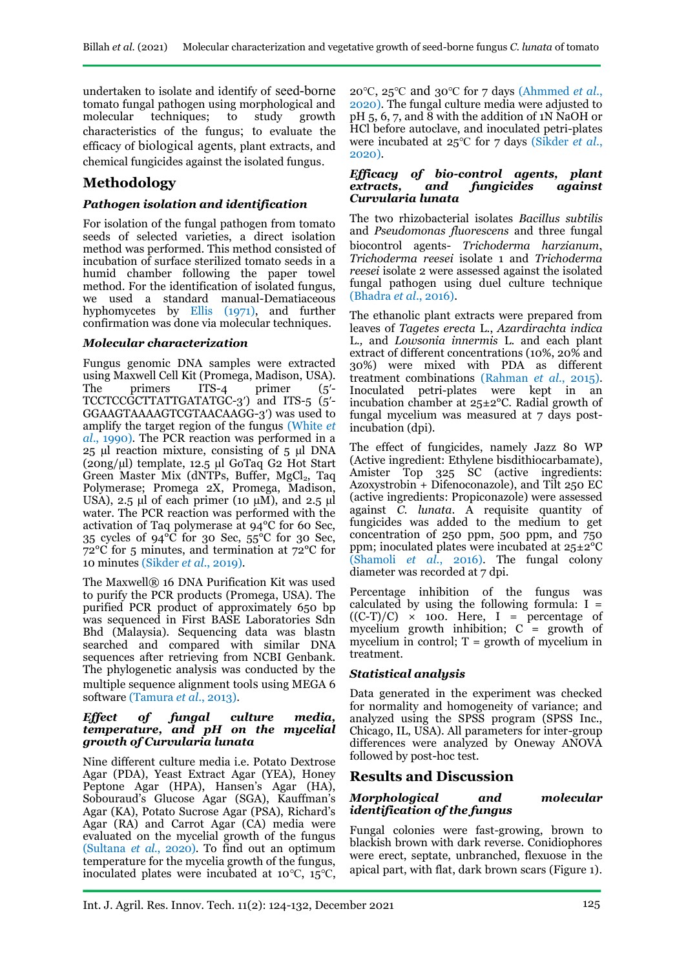undertaken to isolate and identify of seed-borne tomato fungal pathogen using morphological and molecular techniques; to study growth characteristics of the fungus; to evaluate the efficacy of biological agents, plant extracts, and chemical fungicides against the isolated fungus.

# **Methodology**

## *Pathogen isolation and identification*

For isolation of the fungal pathogen from tomato seeds of selected varieties, a direct isolation method was performed. This method consisted of incubation of surface sterilized tomato seeds in a humid chamber following the paper towel method. For the identification of isolated fungus, we used a standard manual-Dematiaceous hyphomycetes by Ellis (1971), and further confirmation was done via molecular techniques.

### *Molecular characterization*

Fungus genomic DNA samples were extracted using Maxwell Cell Kit (Promega, Madison, USA).<br>The primers ITS-4 primer (5'-The primers ITS-4 primer (5'-TCCTCCGCTTATTGATATGC-3ʹ) and ITS-5 (5ʹ-GGAAGTAAAAGTCGTAACAAGG-3ʹ) was used to amplify the target region of the fungus (White *et al*., 1990). The PCR reaction was performed in a 25 µl reaction mixture, consisting of 5 µl DNA (20ng/µl) template, 12.5 µl GoTaq G2 Hot Start Green Master Mix (dNTPs, Buffer, MgCl<sub>2</sub>, Taq Polymerase; Promega 2X, Promega, Madison, USA), 2.5 μl of each primer (10  $\mu$ M), and 2.5 μl water. The PCR reaction was performed with the activation of Taq polymerase at 94°C for 60 Sec, 35 cycles of 94°C for 30 Sec, 55°C for 30 Sec, 72°C for 5 minutes, and termination at 72°C for 10 minutes (Sikder *et al*., 2019).

The Maxwell® 16 DNA Purification Kit was used to purify the PCR products (Promega, USA). The purified PCR product of approximately 650 bp was sequenced in First BASE Laboratories Sdn Bhd (Malaysia). Sequencing data was blastn searched and compared with similar DNA sequences after retrieving from NCBI Genbank. The phylogenetic analysis was conducted by the multiple sequence alignment tools using MEGA 6 software (Tamura *et al*., 2013).

#### *Effect of fungal culture media, temperature, and pH on the mycelial growth of Curvularia lunata*

Nine different culture media i.e. Potato Dextrose Agar (PDA), Yeast Extract Agar (YEA), Honey Peptone Agar (HPA), Hansen's Agar (HA), Sobouraud's Glucose Agar (SGA), Kauffman's Agar (KA), Potato Sucrose Agar (PSA), Richard's Agar (RA) and Carrot Agar (CA) media were evaluated on the mycelial growth of the fungus (Sultana *et al.*, 2020). To find out an optimum temperature for the mycelia growth of the fungus, inoculated plates were incubated at 10℃, 15℃, 20℃, 25℃ and 30℃ for 7 days (Ahmmed *et al.*, 2020). The fungal culture media were adjusted to  $pH$  5, 6, 7, and 8 with the addition of 1N NaOH or HCl before autoclave, and inoculated petri-plates were incubated at 25℃ for 7 days (Sikder *et al.*, 2020).

### *Efficacy of bio-control agents, plant extracts, and fungicides against Curvularia lunata*

The two rhizobacterial isolates *Bacillus subtilis*  and *Pseudomonas fluorescens* and three fungal biocontrol agents- *Trichoderma harzianum*, *Trichoderma reesei* isolate 1 and *Trichoderma reesei* isolate 2 were assessed against the isolated fungal pathogen using duel culture technique (Bhadra *et al*., 2016).

The ethanolic plant extracts were prepared from leaves of *Tagetes erecta* L., *Azardirachta indica*  L.*,* and *Lowsonia innermis* L. and each plant extract of different concentrations (10%, 20% and 30%) were mixed with PDA as different treatment combinations (Rahman *et al*., 2015). Inoculated petri-plates were kept in an incubation chamber at 25±2°C. Radial growth of fungal mycelium was measured at 7 days postincubation (dpi).

The effect of fungicides, namely Jazz 80 WP (Active ingredient: Ethylene bisdithiocarbamate), Amister Top 325 SC (active ingredients: Azoxystrobin + Difenoconazole), and Tilt 250 EC (active ingredients: Propiconazole) were assessed against *C. lunata*. A requisite quantity of fungicides was added to the medium to get concentration of 250 ppm, 500 ppm, and 750 ppm; inoculated plates were incubated at 25±2°C (Shamoli *et al*., 2016). The fungal colony diameter was recorded at 7 dpi.

Percentage inhibition of the fungus was calculated by using the following formula:  $I =$  $((C-T)/C) \times 100$ . Here, I = percentage of mycelium growth inhibition;  $C =$  growth of mycelium in control;  $T =$  growth of mycelium in treatment.

### *Statistical analysis*

Data generated in the experiment was checked for normality and homogeneity of variance; and analyzed using the SPSS program (SPSS Inc., Chicago, IL, USA). All parameters for inter-group differences were analyzed by Oneway ANOVA followed by post-hoc test.

# **Results and Discussion**

### *Morphological and molecular identification of the fungus*

Fungal colonies were fast-growing, brown to blackish brown with dark reverse. Conidiophores were erect, septate, unbranched, flexuose in the apical part, with flat, dark brown scars (Figure 1).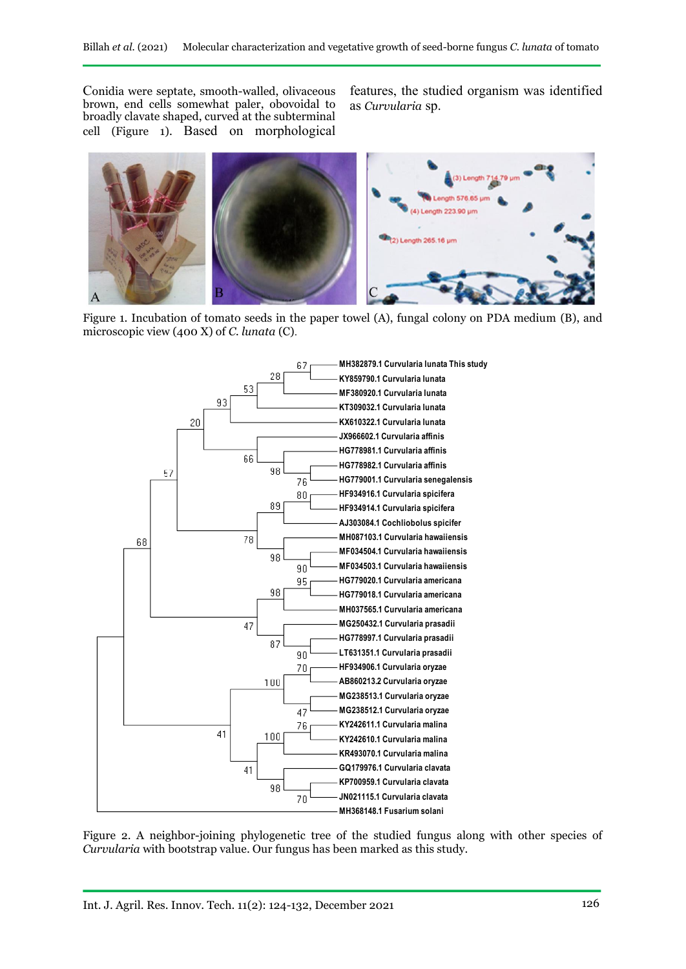Conidia were septate, smooth-walled, olivaceous brown, end cells somewhat paler, obovoidal to broadly clavate shaped, curved at the subterminal cell (Figure 1). Based on morphological features, the studied organism was identified as *Curvularia* sp.



Figure 1. Incubation of tomato seeds in the paper towel (A), fungal colony on PDA medium (B), and microscopic view (400 X) of *C. lunata* (C).



Figure 2. A neighbor-joining phylogenetic tree of the studied fungus along with other species of *Curvularia* with bootstrap value. Our fungus has been marked as this study.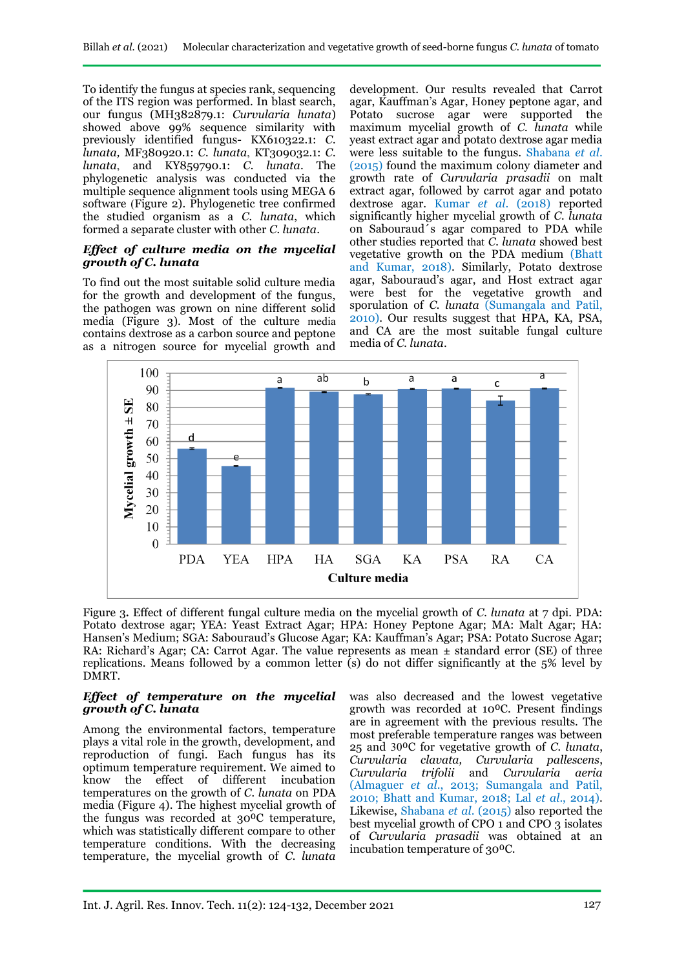To identify the fungus at species rank, sequencing of the ITS region was performed. In blast search, our fungus (MH382879.1: *Curvularia lunata*) showed above 99% sequence similarity with previously identified fungus- [KX610322.1:](https://www.ncbi.nlm.nih.gov/nucleotide/1079877918?report=genbank&log$=nucltop&blast_rank=3&RID=88JVH1SD014) *C. lunata,* MF380920.1: *C. lunata*, [KT309032.1:](https://www.ncbi.nlm.nih.gov/nucleotide/960515982?report=genbank&log$=nucltop&blast_rank=4&RID=88JVH1SD014) *C. lunata*, and [KY859790.1:](https://www.ncbi.nlm.nih.gov/nucleotide/922659689?report=genbank&log$=nucltop&blast_rank=8&RID=88JVH1SD014) *C. lunata*. The phylogenetic analysis was conducted via the multiple sequence alignment tools using MEGA 6 software (Figure 2). Phylogenetic tree confirmed the studied organism as a *C. lunata*, which formed a separate cluster with other *C. lunata*.

### *Effect of culture media on the mycelial growth of C. lunata*

To find out the most suitable solid culture media for the growth and development of the fungus, the pathogen was grown on nine different solid media (Figure 3). Most of the culture media contains dextrose as a carbon source and peptone as a nitrogen source for mycelial growth and

development. Our results revealed that Carrot agar, Kauffman's Agar, Honey peptone agar, and Potato sucrose agar were supported the maximum mycelial growth of *C. lunata* while yeast extract agar and potato dextrose agar media were less suitable to the fungus. Shabana *et al*. (2015) found the maximum colony diameter and growth rate of *Curvularia prasadii* on malt extract agar, followed by carrot agar and potato dextrose agar. Kumar *et al*. (2018) reported significantly higher mycelial growth of *C. lunata* on Sabouraud´s agar compared to PDA while other studies reported that *C. lunata* showed best vegetative growth on the PDA medium (Bhatt and Kumar, 2018). Similarly, Potato dextrose agar, Sabouraud's agar, and Host extract agar were best for the vegetative growth and sporulation of *C. lunata* (Sumangala and Patil, 2010). Our results suggest that HPA, KA, PSA, and CA are the most suitable fungal culture media of *C. lunata*.



Figure 3**.** Effect of different fungal culture media on the mycelial growth of *C. lunata* at 7 dpi. PDA: Potato dextrose agar; YEA: Yeast Extract Agar; HPA: Honey Peptone Agar; MA: Malt Agar; HA: Hansen's Medium; SGA: Sabouraud's Glucose Agar; KA: Kauffman's Agar; PSA: Potato Sucrose Agar; RA: Richard's Agar; CA: Carrot Agar. The value represents as mean  $\pm$  standard error (SE) of three replications. Means followed by a common letter  $(s)$  do not differ significantly at the 5% level by DMRT.

### *Effect of temperature on the mycelial growth of C. lunata*

Among the environmental factors, temperature plays a vital role in the growth, development, and reproduction of fungi. Each fungus has its optimum temperature requirement. We aimed to know the effect of different incubation temperatures on the growth of *C. lunata* on PDA media (Figure 4). The highest mycelial growth of the fungus was recorded at 30<sup>o</sup>C temperature, which was statistically different compare to other temperature conditions. With the decreasing temperature, the mycelial growth of *C. lunata*

was also decreased and the lowest vegetative growth was recorded at 10⁰C. Present findings are in agreement with the previous results. The most preferable temperature ranges was between 25 and 30⁰C for vegetative growth of *C. lunata*, *Curvularia clavata, Curvularia pallescens*, *Curvularia trifolii* and *Curvularia aeria* (Almaguer *et al*., 2013; Sumangala and Patil, 2010; Bhatt and Kumar, 2018; Lal *et al*., 2014). Likewise, Shabana *et al*. (2015) also reported the best mycelial growth of CPO 1 and CPO 3 isolates of *Curvularia prasadii* was obtained at an incubation temperature of 30<sup>o</sup>C.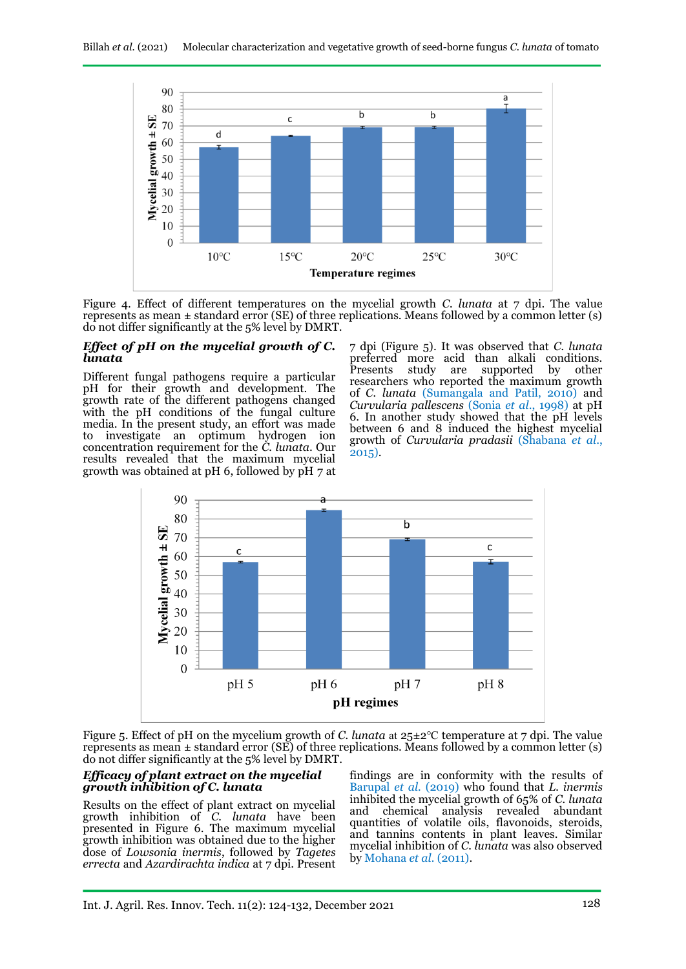

Figure 4. Effect of different temperatures on the mycelial growth *C. lunata* at 7 dpi. The value represents as mean  $\pm$  standard error (SE) of three replications. Means followed by a common letter (s) do not differ significantly at the 5% level by DMRT.

#### *Effect of pH on the mycelial growth of C. lunata*

Different fungal pathogens require a particular pH for their growth and development. The growth rate of the different pathogens changed with the pH conditions of the fungal culture media. In the present study, an effort was made to investigate an optimum hydrogen ion concentration requirement for the *C. lunata*. Our results revealed that the maximum mycelial growth was obtained at  $pH$  6, followed by  $pH$  7 at 7 dpi (Figure 5). It was observed that *C. lunata* preferred more acid than alkali conditions.<br>Presents study are supported by other supported researchers who reported the maximum growth of *C. lunata* (Sumangala and Patil, 2010) and *Curvularia pallescens* (Sonia *et al*., 1998) at pH 6. In another study showed that the pH levels between 6 and 8 induced the highest mycelial growth of *Curvularia pradasii* (Shabana *et al*., 2015).



Figure 5. Effect of pH on the mycelium growth of *C. lunata* at 25±2℃ temperature at 7 dpi. The value represents as mean  $\pm$  standard error (SE) of three replications. Means followed by a common letter (s) do not differ significantly at the 5% level by DMRT.

### *Efficacy of plant extract on the mycelial growth inhibition of C. lunata*

Results on the effect of plant extract on mycelial growth inhibition of *C. lunata* have been presented in Figure 6. The maximum mycelial growth inhibition was obtained due to the higher dose of *Lowsonia inermis*, followed by *Tagetes errecta* and *Azardirachta indica* at 7 dpi. Present

findings are in conformity with the results of Barupal *et al.* (2019) who found that *L. inermis* inhibited the mycelial growth of 65% of *C. lunata* and chemical analysis revealed abundant quantities of volatile oils, flavonoids, steroids, and tannins contents in plant leaves. Similar mycelial inhibition of *C. lunata* was also observed by Mohana *et al.* (2011).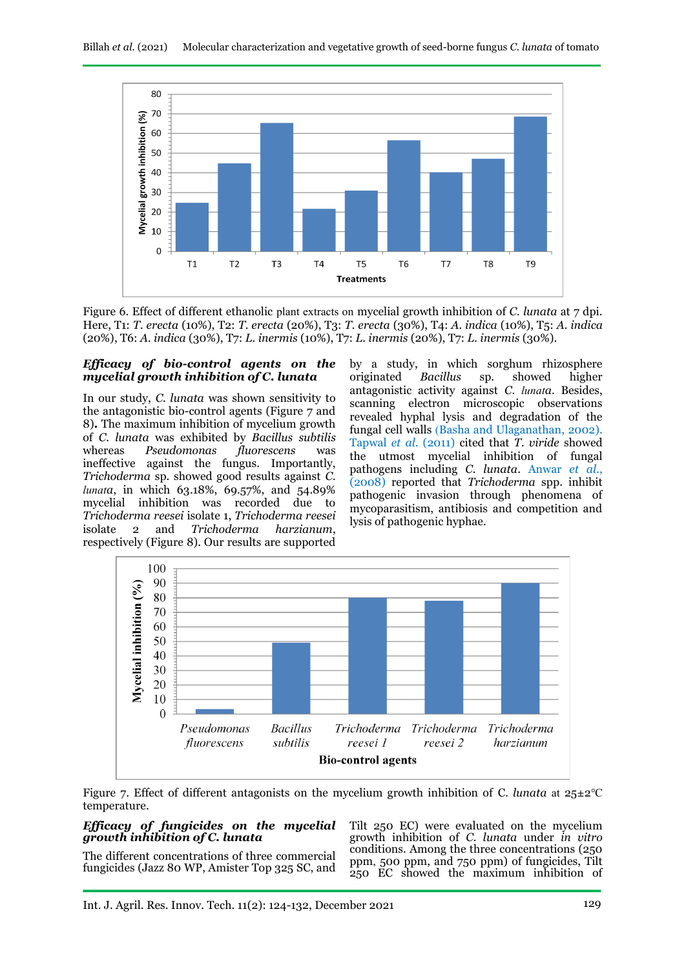

Figure 6. Effect of different ethanolic plant extracts on mycelial growth inhibition of *C. lunata* at 7 dpi. Here, T1: *T. erecta* (10%), T2: *T. erecta* (20%), T3: *T. erecta* (30%), T4: *A. indica* (10%), T5: *A. indica* (20%), T6: *A. indica* (30%), T7: *L. inermis* (10%), T7: *L. inermis* (20%), T7: *L. inermis* (30%).

#### *Efficacy of bio-control agents on the mycelial growth inhibition of C. lunata*

In our study, *C. lunata* was shown sensitivity to the antagonistic bio-control agents (Figure 7 and 8)**.** The maximum inhibition of mycelium growth of *C. lunata* was exhibited by *Bacillus subtilis* whereas *Pseudomonas fluorescens* was ineffective against the fungus. Importantly, *Trichoderma* sp. showed good results against *C. lunata*, in which 63.18%, 69.57%, and 54.89% mycelial inhibition was recorded due to *Trichoderma reesei* isolate 1, *Trichoderma reesei* isolate 2 and *Trichoderma harzianum*, respectively (Figure 8). Our results are supported

by a study, in which sorghum rhizosphere originated *Bacillus* sp. showed higher antagonistic activity against *C. lunata*. Besides, scanning electron microscopic observations revealed hyphal lysis and degradation of the fungal cell walls (Basha and Ulaganathan, 2002). Tapwal *et al*. (2011) cited that *T. viride* showed the utmost mycelial inhibition of fungal pathogens including *C. lunata*. Anwar *et al*., (2008) reported that *Trichoderma* spp. inhibit pathogenic invasion through phenomena of mycoparasitism, antibiosis and competition and lysis of pathogenic hyphae.



Figure 7. Effect of different antagonists on the mycelium growth inhibition of C*. lunata* at 25±2℃ temperature.

#### *Efficacy of fungicides on the mycelial growth inhibition of C. lunata*

The different concentrations of three commercial fungicides (Jazz 80 WP, Amister Top 325 SC, and Tilt 250 EC) were evaluated on the mycelium growth inhibition of *C. lunata* under *in vitro* conditions. Among the three concentrations (250 ppm, 500 ppm, and 750 ppm) of fungicides, Tilt 250 EC showed the maximum inhibition of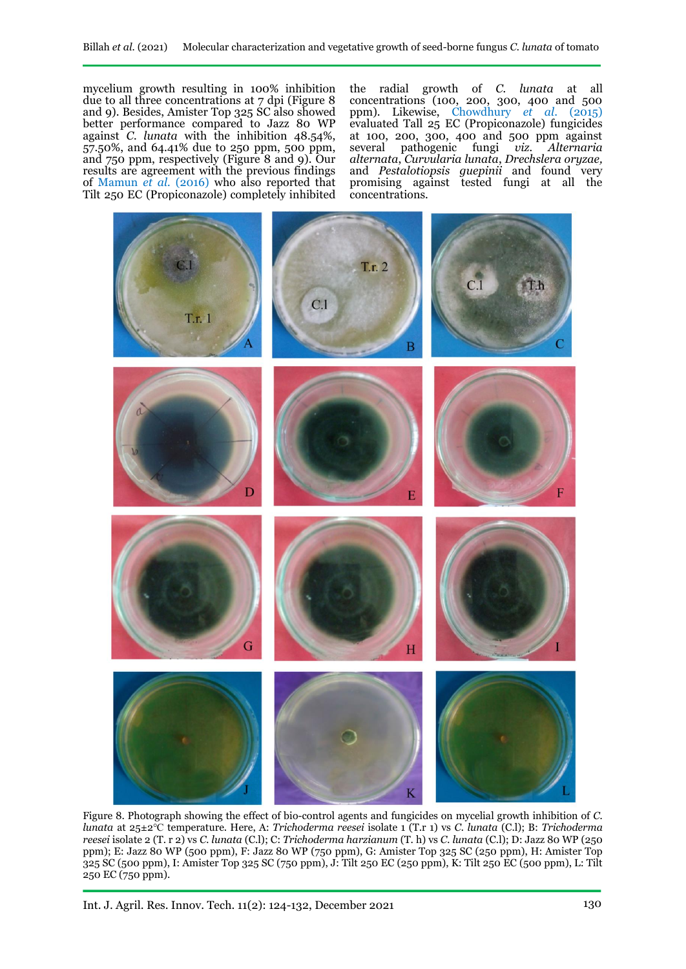mycelium growth resulting in 100% inhibition due to all three concentrations at 7 dpi (Figure 8 and 9). Besides, Amister Top 325 SC also showed better performance compared to Jazz 80 WP against *C. lunata* with the inhibition 48.54%, 57.50%, and 64.41% due to 250 ppm, 500 ppm, and 750 ppm, respectively (Figure 8 and 9). Our results are agreement with the previous findings of Mamun *et al.* (2016) who also reported that Tilt 250 EC (Propiconazole) completely inhibited

the radial growth of *C. lunata* at all concentrations (100, 200, 300, 400 and 500 ppm). Likewise, Chowdhury *et al*. (2015) evaluated Tall 25 EC (Propiconazole) fungicides at 100, 200, 300, 400 and 500 ppm against several pathogenic fungi *viz. Alternaria alternata*, *Curvularia lunata*, *Drechslera oryzae,*  and *Pestalotiopsis guepinii* and found very promising against tested fungi at all the concentrations.



Figure 8. Photograph showing the effect of bio-control agents and fungicides on mycelial growth inhibition of *C. lunata* at 25±2℃ temperature. Here, A: *Trichoderma reesei* isolate 1 (T.r 1) vs *C. lunata* (C.l); B: *Trichoderma reesei* isolate 2 (T. r 2) vs *C. lunata* (C.l); C: *Trichoderma harzianum* (T. h) vs *C. lunata* (C.l); D: Jazz 80 WP (250 ppm); E: Jazz 80 WP (500 ppm), F: Jazz 80 WP (750 ppm), G: Amister Top 325 SC (250 ppm), H: Amister Top 325 SC (500 ppm), I: Amister Top 325 SC (750 ppm), J: Tilt 250 EC (250 ppm), K: Tilt 250 EC (500 ppm), L: Tilt 250 EC (750 ppm).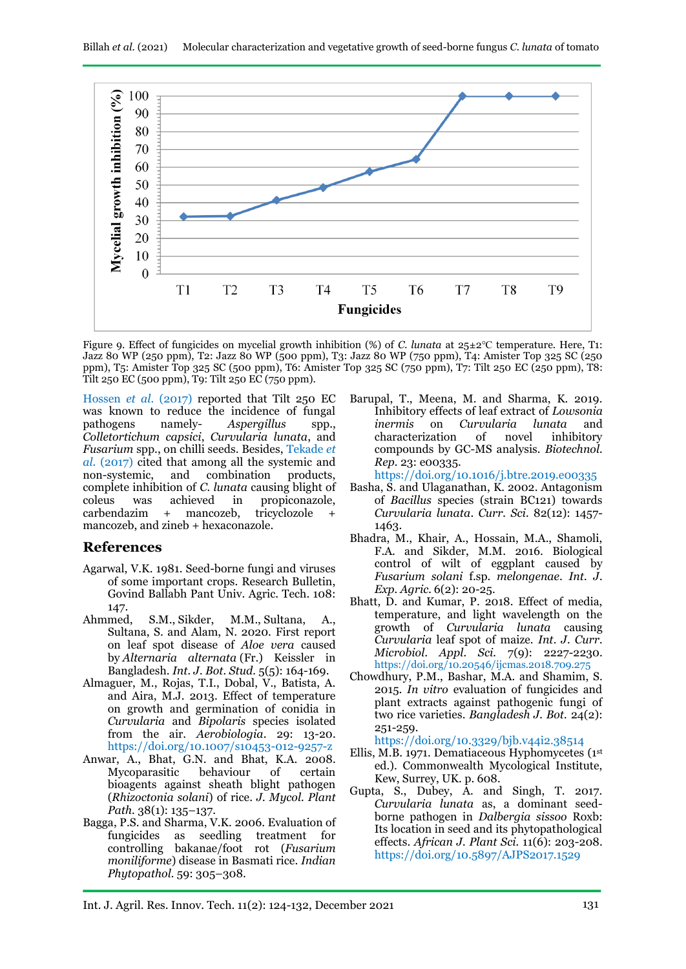

Figure 9. Effect of fungicides on mycelial growth inhibition (%) of *C. lunata* at 25±2℃ temperature. Here, T1: Jazz 80 WP (250 ppm), T2: Jazz 80 WP (500 ppm), T3: Jazz 80 WP (750 ppm), T4: Amister Top 325 SC (250 ppm), T5: Amister Top 325 SC (500 ppm), T6: Amister Top 325 SC (750 ppm), T7: Tilt 250 EC (250 ppm), T8: Tilt 250 EC (500 ppm), T9: Tilt 250 EC (750 ppm).

Hossen *et al.* (2017) reported that Tilt 250 EC was known to reduce the incidence of fungal<br>pathogens namely-<br>Aspergillus spp., Aspergillus spp., *Colletortichum capsici*, *Curvularia lunata*, and *Fusarium* spp., on chilli seeds. Besides, Tekade *et al.* (2017) cited that among all the systemic and non-systemic, and combination products, complete inhibition of *C. lunata* causing blight of coleus was achieved in propiconazole, carbendazim + mancozeb, tricyclozole mancozeb, and zineb + hexaconazole.

# **References**

- Agarwal, V.K. 1981. Seed-borne fungi and viruses of some important crops. Research Bulletin, Govind Ballabh Pant Univ. Agric. Tech. 108: 147.
- Ahmmed, S.M., Sikder, M.M., Sultana, A., Sultana, S. and Alam, N. 2020. First report on leaf spot disease of *Aloe vera* caused by *Alternaria alternata* (Fr.) Keissler in Bangladesh. *Int. J. Bot. Stud.* 5(5): 164-169.
- Almaguer, M., Rojas, T.I., Dobal, V., Batista, A. and Aira, M.J. 2013. Effect of temperature on growth and germination of conidia in *Curvularia* and *Bipolaris* species isolated from the air. *Aerobiologia*. 29: 13-20. <https://doi.org/10.1007/s10453-012-9257-z>
- Anwar, A., Bhat, G.N. and Bhat, K.A. 2008. Mycoparasitic behaviour of certain bioagents against sheath blight pathogen (*Rhizoctonia solani*) of rice. *J. Mycol. Plant Path.* 38(1): 135–137.
- Bagga, P.S. and Sharma, V.K. 2006. Evaluation of fungicides as seedling treatment for controlling bakanae/foot rot (*Fusarium moniliforme*) disease in Basmati rice. *Indian Phytopathol.* 59: 305–308.

Barupal, T., Meena, M. and Sharma, K. 2019. Inhibitory effects of leaf extract of *Lowsonia*  on *Curvularia lunata* and<br>ization of novel inhibitory characterization of novel inhibitory compounds by GC-MS analysis. *Biotechnol. Rep.* 23: e00335.

<https://doi.org/10.1016/j.btre.2019.e00335>

- Basha, S. and Ulaganathan, K. 2002. Antagonism of *Bacillus* species (strain BC121) towards *Curvularia lunata*. *Curr. Sci.* 82(12): 1457- 1463.
- Bhadra, M., Khair, A., Hossain, M.A., Shamoli, F.A. and Sikder, M.M. 2016. Biological control of wilt of eggplant caused by *Fusarium solani* f.sp. *melongenae*. *Int. J. Exp. Agric.* 6(2): 20-25.
- Bhatt, D. and Kumar, P. 2018. Effect of media, temperature, and light wavelength on the growth of *Curvularia lunata* causing *Curvularia* leaf spot of maize. *Int. J. Curr. Microbiol. Appl. Sci.* 7(9): 2227-2230. <https://doi.org/10.20546/ijcmas.2018.709.275>
- Chowdhury, P.M., Bashar, M.A. and Shamim, S. 2015. *In vitro* evaluation of fungicides and plant extracts against pathogenic fungi of two rice varieties. *Bangladesh J. Bot.* 24(2): 251-259.

<https://doi.org/10.3329/bjb.v44i2.38514>

- Ellis, M.B. 1971. Dematiaceous Hyphomycetes (1 st ed.). Commonwealth Mycological Institute, Kew, Surrey, UK. p. 608.
- Gupta, S., Dubey, A. and Singh, T. 2017. *Curvularia lunata* as, a dominant seedborne pathogen in *Dalbergia sissoo* Roxb: Its location in seed and its phytopathological effects. *African J. Plant Sci.* 11(6): 203-208. <https://doi.org/10.5897/AJPS2017.1529>